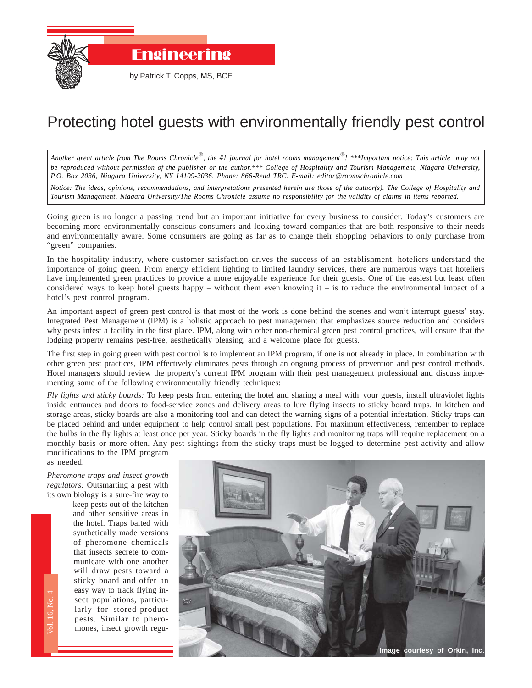

Engineering

by Patrick T. Copps, MS, BCE

## Protecting hotel guests with environmentally friendly pest control

*Another great article from The Rooms Chronicle*®*, the #1 journal for hotel rooms management*®*! \*\*\*Important notice: This article may not be reproduced without permission of the publisher or the author.\*\*\* College of Hospitality and Tourism Management, Niagara University, P.O. Box 2036, Niagara University, NY 14109-2036. Phone: 866-Read TRC. E-mail: editor@roomschronicle.com*

*Notice: The ideas, opinions, recommendations, and interpretations presented herein are those of the author(s). The College of Hospitality and Tourism Management, Niagara University/The Rooms Chronicle assume no responsibility for the validity of claims in items reported.*

Going green is no longer a passing trend but an important initiative for every business to consider. Today's customers are becoming more environmentally conscious consumers and looking toward companies that are both responsive to their needs and environmentally aware. Some consumers are going as far as to change their shopping behaviors to only purchase from "green" companies.

In the hospitality industry, where customer satisfaction drives the success of an establishment, hoteliers understand the importance of going green. From energy efficient lighting to limited laundry services, there are numerous ways that hoteliers have implemented green practices to provide a more enjoyable experience for their guests. One of the easiest but least often considered ways to keep hotel guests happy – without them even knowing it – is to reduce the environmental impact of a hotel's pest control program.

An important aspect of green pest control is that most of the work is done behind the scenes and won't interrupt guests' stay. Integrated Pest Management (IPM) is a holistic approach to pest management that emphasizes source reduction and considers why pests infest a facility in the first place. IPM, along with other non-chemical green pest control practices, will ensure that the lodging property remains pest-free, aesthetically pleasing, and a welcome place for guests.

The first step in going green with pest control is to implement an IPM program, if one is not already in place. In combination with other green pest practices, IPM effectively eliminates pests through an ongoing process of prevention and pest control methods. Hotel managers should review the property's current IPM program with their pest management professional and discuss implementing some of the following environmentally friendly techniques:

*Fly lights and sticky boards:* To keep pests from entering the hotel and sharing a meal with your guests, install ultraviolet lights inside entrances and doors to food-service zones and delivery areas to lure flying insects to sticky board traps. In kitchen and storage areas, sticky boards are also a monitoring tool and can detect the warning signs of a potential infestation. Sticky traps can be placed behind and under equipment to help control small pest populations. For maximum effectiveness, remember to replace the bulbs in the fly lights at least once per year. Sticky boards in the fly lights and monitoring traps will require replacement on a monthly basis or more often. Any pest sightings from the sticky traps must be logged to determine pest activity and allow modifications to the IPM program

as needed. *Pheromone traps and insect growth*

Vol. 16, No. 4

*regulators:* Outsmarting a pest with its own biology is a sure-fire way to

> The Rooms Chronicle Space<br>
> The Rooms Chronicle Space<br>
> The Rooms Chronicle Space keep pests out of the kitchen and other sensitive areas in the hotel. Traps baited with synthetically made versions of pheromone chemicals that insects secrete to communicate with one another will draw pests toward a sticky board and offer an easy way to track flying insect populations, particularly for stored-product pests. Similar to pheromones, insect growth regu-



**Image courtesy of Orkin, Inc**.